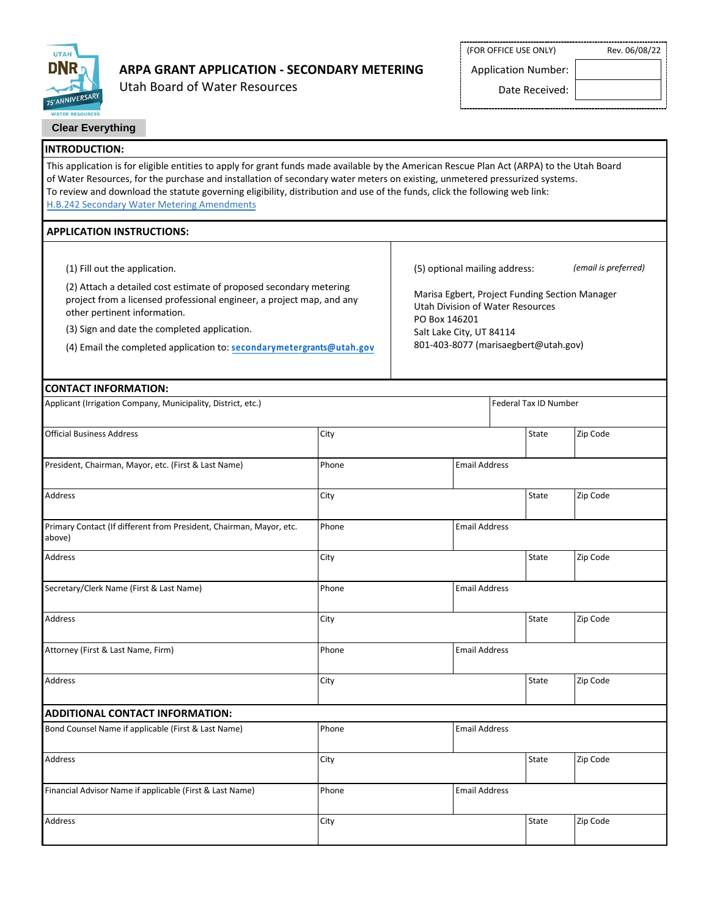

# **ARPA GRANT APPLICATION - SECONDARY METERING**

Utah Board of Water Resources

(FOR OFFICE USE ONLY) Rev. 06/08/22

Application Number:

Date Received:

| <b>WATER RESOURCES</b>                                                                                                                                                                                                                                                                                                                                                                                                                                 |                                                                                                            |                               |                                      |                      |  |  |
|--------------------------------------------------------------------------------------------------------------------------------------------------------------------------------------------------------------------------------------------------------------------------------------------------------------------------------------------------------------------------------------------------------------------------------------------------------|------------------------------------------------------------------------------------------------------------|-------------------------------|--------------------------------------|----------------------|--|--|
| <b>Clear Everything</b>                                                                                                                                                                                                                                                                                                                                                                                                                                |                                                                                                            |                               |                                      |                      |  |  |
| <b>INTRODUCTION:</b>                                                                                                                                                                                                                                                                                                                                                                                                                                   |                                                                                                            |                               |                                      |                      |  |  |
| This application is for eligible entities to apply for grant funds made available by the American Rescue Plan Act (ARPA) to the Utah Board<br>of Water Resources, for the purchase and installation of secondary water meters on existing, unmetered pressurized systems.<br>To review and download the statute governing eligibility, distribution and use of the funds, click the following web link:<br>H.B.242 Secondary Water Metering Amendments |                                                                                                            |                               |                                      |                      |  |  |
| <b>APPLICATION INSTRUCTIONS:</b>                                                                                                                                                                                                                                                                                                                                                                                                                       |                                                                                                            |                               |                                      |                      |  |  |
|                                                                                                                                                                                                                                                                                                                                                                                                                                                        |                                                                                                            |                               |                                      |                      |  |  |
| (1) Fill out the application.                                                                                                                                                                                                                                                                                                                                                                                                                          |                                                                                                            | (5) optional mailing address: |                                      | (email is preferred) |  |  |
| (2) Attach a detailed cost estimate of proposed secondary metering<br>project from a licensed professional engineer, a project map, and any<br>other pertinent information.                                                                                                                                                                                                                                                                            | Marisa Egbert, Project Funding Section Manager<br><b>Utah Division of Water Resources</b><br>PO Box 146201 |                               |                                      |                      |  |  |
| (3) Sign and date the completed application.                                                                                                                                                                                                                                                                                                                                                                                                           |                                                                                                            | Salt Lake City, UT 84114      |                                      |                      |  |  |
| (4) Email the completed application to: secondarymetergrants@utah.gov                                                                                                                                                                                                                                                                                                                                                                                  |                                                                                                            |                               | 801-403-8077 (marisaegbert@utah.gov) |                      |  |  |
| <b>CONTACT INFORMATION:</b>                                                                                                                                                                                                                                                                                                                                                                                                                            |                                                                                                            |                               |                                      |                      |  |  |
| Applicant (Irrigation Company, Municipality, District, etc.)                                                                                                                                                                                                                                                                                                                                                                                           |                                                                                                            |                               | Federal Tax ID Number                |                      |  |  |
| <b>Official Business Address</b>                                                                                                                                                                                                                                                                                                                                                                                                                       | City                                                                                                       |                               | State                                | Zip Code             |  |  |
| President, Chairman, Mayor, etc. (First & Last Name)                                                                                                                                                                                                                                                                                                                                                                                                   | <b>Email Address</b><br>Phone                                                                              |                               |                                      |                      |  |  |
| Address                                                                                                                                                                                                                                                                                                                                                                                                                                                | City                                                                                                       |                               | State                                | Zip Code             |  |  |
| Primary Contact (If different from President, Chairman, Mayor, etc.<br>above)                                                                                                                                                                                                                                                                                                                                                                          | <b>Email Address</b><br>Phone                                                                              |                               |                                      |                      |  |  |
| Address                                                                                                                                                                                                                                                                                                                                                                                                                                                | City                                                                                                       |                               | State                                | Zip Code             |  |  |
| Secretary/Clerk Name (First & Last Name)                                                                                                                                                                                                                                                                                                                                                                                                               | Phone<br><b>Email Address</b>                                                                              |                               |                                      |                      |  |  |
| Address                                                                                                                                                                                                                                                                                                                                                                                                                                                | City                                                                                                       |                               | State                                | Zip Code             |  |  |
| Attorney (First & Last Name, Firm)                                                                                                                                                                                                                                                                                                                                                                                                                     | Phone<br><b>Email Address</b>                                                                              |                               |                                      |                      |  |  |
| Address                                                                                                                                                                                                                                                                                                                                                                                                                                                | City                                                                                                       |                               | State                                | Zip Code             |  |  |
| <b>ADDITIONAL CONTACT INFORMATION:</b>                                                                                                                                                                                                                                                                                                                                                                                                                 |                                                                                                            |                               |                                      |                      |  |  |
| Bond Counsel Name if applicable (First & Last Name)                                                                                                                                                                                                                                                                                                                                                                                                    | Phone                                                                                                      |                               | <b>Email Address</b>                 |                      |  |  |
| Address                                                                                                                                                                                                                                                                                                                                                                                                                                                | City                                                                                                       |                               | State                                | Zip Code             |  |  |
| Financial Advisor Name if applicable (First & Last Name)                                                                                                                                                                                                                                                                                                                                                                                               | Phone                                                                                                      |                               | <b>Email Address</b>                 |                      |  |  |
| Address                                                                                                                                                                                                                                                                                                                                                                                                                                                | City                                                                                                       |                               | State                                | Zip Code             |  |  |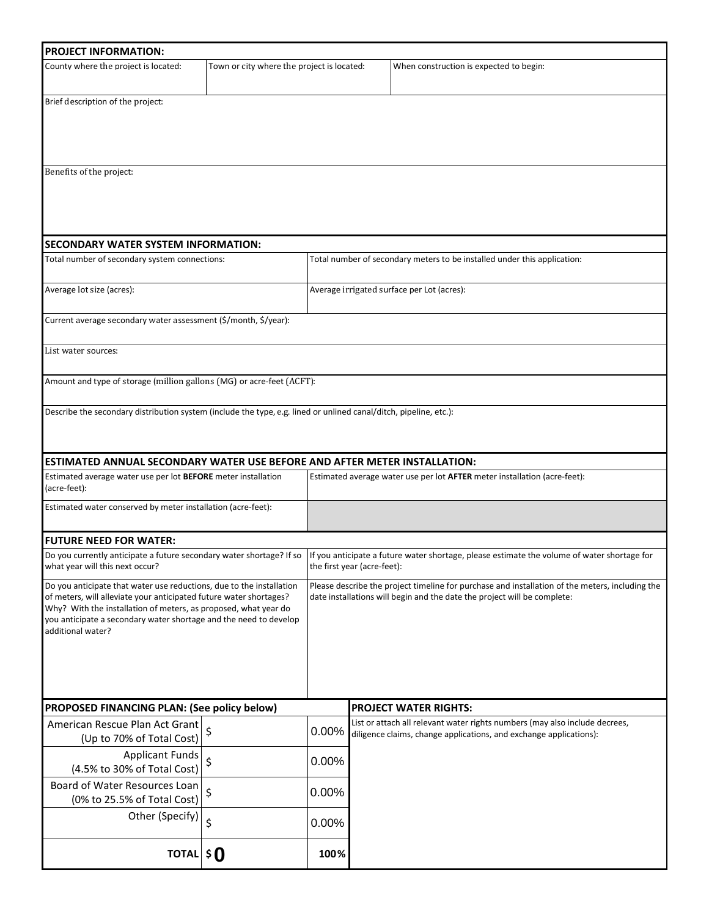| <b>PROJECT INFORMATION:</b>                                                                                                                                                                                                                                                                             |                                            |                                                                                                                                                                                                  |                                                                           |                                                                                                                                                                             |  |  |
|---------------------------------------------------------------------------------------------------------------------------------------------------------------------------------------------------------------------------------------------------------------------------------------------------------|--------------------------------------------|--------------------------------------------------------------------------------------------------------------------------------------------------------------------------------------------------|---------------------------------------------------------------------------|-----------------------------------------------------------------------------------------------------------------------------------------------------------------------------|--|--|
| County where the project is located:                                                                                                                                                                                                                                                                    | Town or city where the project is located: |                                                                                                                                                                                                  |                                                                           | When construction is expected to begin:                                                                                                                                     |  |  |
| Brief description of the project:                                                                                                                                                                                                                                                                       |                                            |                                                                                                                                                                                                  |                                                                           |                                                                                                                                                                             |  |  |
| Benefits of the project:                                                                                                                                                                                                                                                                                |                                            |                                                                                                                                                                                                  |                                                                           |                                                                                                                                                                             |  |  |
| SECONDARY WATER SYSTEM INFORMATION:                                                                                                                                                                                                                                                                     |                                            |                                                                                                                                                                                                  |                                                                           |                                                                                                                                                                             |  |  |
| Total number of secondary system connections:                                                                                                                                                                                                                                                           |                                            |                                                                                                                                                                                                  | Total number of secondary meters to be installed under this application:  |                                                                                                                                                                             |  |  |
| Average lot size (acres):                                                                                                                                                                                                                                                                               |                                            |                                                                                                                                                                                                  |                                                                           | Average irrigated surface per Lot (acres):                                                                                                                                  |  |  |
| Current average secondary water assessment (\$/month, \$/year):                                                                                                                                                                                                                                         |                                            |                                                                                                                                                                                                  |                                                                           |                                                                                                                                                                             |  |  |
| List water sources:                                                                                                                                                                                                                                                                                     |                                            |                                                                                                                                                                                                  |                                                                           |                                                                                                                                                                             |  |  |
| Amount and type of storage (million gallons (MG) or acre-feet (ACFT):                                                                                                                                                                                                                                   |                                            |                                                                                                                                                                                                  |                                                                           |                                                                                                                                                                             |  |  |
| Describe the secondary distribution system (include the type, e.g. lined or unlined canal/ditch, pipeline, etc.):                                                                                                                                                                                       |                                            |                                                                                                                                                                                                  |                                                                           |                                                                                                                                                                             |  |  |
| <b>ESTIMATED ANNUAL SECONDARY WATER USE BEFORE AND AFTER METER INSTALLATION:</b>                                                                                                                                                                                                                        |                                            |                                                                                                                                                                                                  |                                                                           |                                                                                                                                                                             |  |  |
| Estimated average water use per lot BEFORE meter installation<br>(acre-feet):                                                                                                                                                                                                                           |                                            |                                                                                                                                                                                                  | Estimated average water use per lot AFTER meter installation (acre-feet): |                                                                                                                                                                             |  |  |
| Estimated water conserved by meter installation (acre-feet):                                                                                                                                                                                                                                            |                                            |                                                                                                                                                                                                  |                                                                           |                                                                                                                                                                             |  |  |
| <b>FUTURE NEED FOR WATER:</b>                                                                                                                                                                                                                                                                           |                                            |                                                                                                                                                                                                  |                                                                           |                                                                                                                                                                             |  |  |
| what year will this next occur?                                                                                                                                                                                                                                                                         |                                            | Do you currently anticipate a future secondary water shortage? If so  If you anticipate a future water shortage, please estimate the volume of water shortage for<br>the first year (acre-feet): |                                                                           |                                                                                                                                                                             |  |  |
| Do you anticipate that water use reductions, due to the installation<br>of meters, will alleviate your anticipated future water shortages?<br>Why? With the installation of meters, as proposed, what year do<br>you anticipate a secondary water shortage and the need to develop<br>additional water? |                                            |                                                                                                                                                                                                  |                                                                           | Please describe the project timeline for purchase and installation of the meters, including the<br>date installations will begin and the date the project will be complete: |  |  |
| PROPOSED FINANCING PLAN: (See policy below)                                                                                                                                                                                                                                                             |                                            |                                                                                                                                                                                                  |                                                                           | <b>PROJECT WATER RIGHTS:</b>                                                                                                                                                |  |  |
| American Rescue Plan Act Grant<br>(Up to 70% of Total Cost)                                                                                                                                                                                                                                             |                                            |                                                                                                                                                                                                  |                                                                           | List or attach all relevant water rights numbers (may also include decrees,<br>0.00% diligence claims, change applications, and exchange applications):                     |  |  |
| <b>Applicant Funds</b><br>(4.5% to 30% of Total Cost)                                                                                                                                                                                                                                                   | \$                                         | 0.00%                                                                                                                                                                                            |                                                                           |                                                                                                                                                                             |  |  |
| Board of Water Resources Loan<br>(0% to 25.5% of Total Cost)                                                                                                                                                                                                                                            | \$                                         | 0.00%                                                                                                                                                                                            |                                                                           |                                                                                                                                                                             |  |  |
| Other (Specify) $\left  \right. \xi$                                                                                                                                                                                                                                                                    |                                            | 0.00%                                                                                                                                                                                            |                                                                           |                                                                                                                                                                             |  |  |
| TOTAL $\mathbf{\$}$                                                                                                                                                                                                                                                                                     |                                            | 100%                                                                                                                                                                                             |                                                                           |                                                                                                                                                                             |  |  |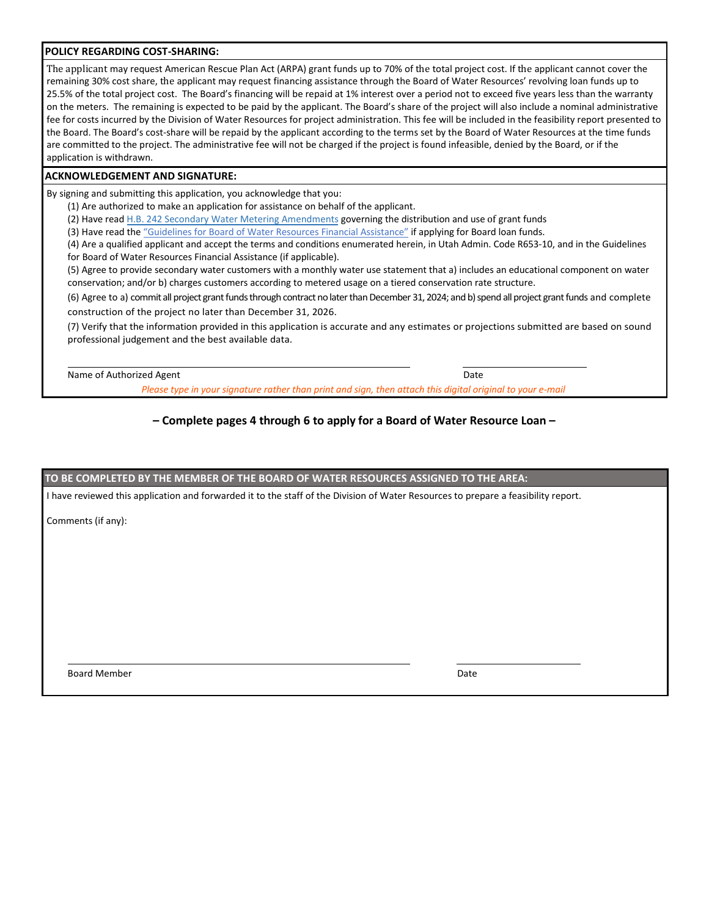#### **POLICY REGARDING COST-SHARING:**

The applicant may request American Rescue Plan Act (ARPA) grant funds up to 70% of the total project cost. If the applicant cannot cover the remaining 30% cost share, the applicant may request financing assistance through the Board of Water Resources' revolving loan funds up to 25.5% of the total project cost. The Board's financing will be repaid at 1% interest over a period not to exceed five years less than the warranty on the meters. The remaining is expected to be paid by the applicant. The Board's share of the project will also include a nominal administrative fee for costs incurred by the Division of Water Resources for project administration. This fee will be included in the feasibility report presented to the Board. The Board's cost-share will be repaid by the applicant according to the terms set by the Board of Water Resources at the time funds are committed to the project. The administrative fee will not be charged if the project is found infeasible, denied by the Board, or if the application is withdrawn.

#### **ACKNOWLEDGEMENT AND SIGNATURE:**

By signing and submitting this application, you acknowledge that you:

(1) Are authorized to make an application for assistance on behalf of the applicant.

(2) Have read [H.B. 242 Secondary Water Metering Amendments](https://le.utah.gov/~2022/bills/static/HB0242.html) governing the distribution and use of grant funds

(3) Have read the "Guidelines for [Board of Water Resources Financial Assistance"](https://drive.google.com/file/d/1YMg3V6OLha0LL6E5d-qE9PPz8RmhHHKx/view?usp=sharing) if applying for Board loan funds.

(4) Are a qualified applicant and accept the terms and conditions enumerated herein, in Utah Admin. Code R653-10, and in the Guidelines for Board of Water Resources Financial Assistance (if applicable).

(5) Agree to provide secondary water customers with a monthly water use statement that a) includes an educational component on water conservation; and/or b) charges customers according to metered usage on a tiered conservation rate structure.

(6) Agree to a) commit all project grant fundsthrough contract nolater than December 31,2024; and b) spend all project grant funds and complete construction of the project no later than December 31, 2026.

(7) Verify that the information provided in this application is accurate and any estimates or projections submitted are based on sound professional judgement and the best available data.

Name of Authorized Agent **Date** Date **Date** Date **Date** Date **Date** Date **Date Date** 

*Please type in your signature rather than print and sign, then attach this digital original to your e-mail*

## **– Complete pages 4 through 6 to apply for a Board of Water Resource Loan –**

**TO BE COMPLETED BY THE MEMBER OF THE BOARD OF WATER RESOURCES ASSIGNED TO THE AREA:**

I have reviewed this application and forwarded it to the staff of the Division of Water Resources to prepare a feasibility report.

Comments (if any):

Board Member Date (2008) and the state of the state of the state of the state of the Date of the Date of the Date of the Date of the Date of the Date of the Date of the Date of the Date of the Date of the Date of the Date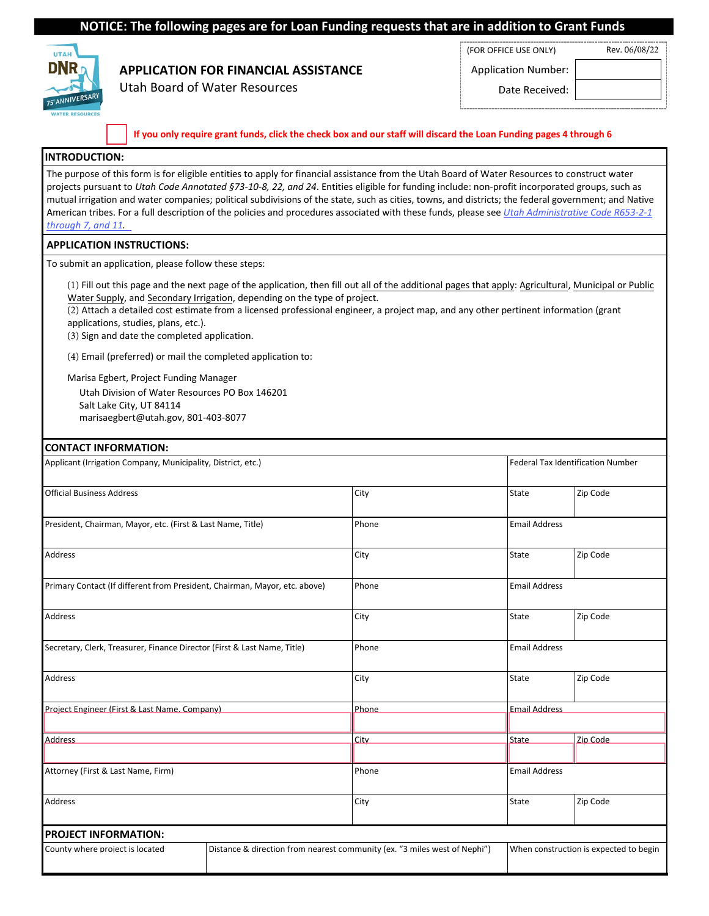### **NOTICE: The following pages are for Loan Funding requests that are in addition to Grant Funds**



# **APPLICATION FOR FINANCIAL ASSISTANCE**

Utah Board of Water Resources

Application Number:

(FOR OFFICE USE ONLY) Rev. 06/08/22

Date Received:

If you only require grant funds, click the check box and our staff will discard the Loan Funding pages 4 through 6

#### **INTRODUCTION:**

The purpose of this form is for eligible entities to apply for financial assistance from the Utah Board of Water Resources to construct water projects pursuant to *Utah Code Annotated §73-10-8, 22, and 24*. Entities eligible for funding include: non-profit incorporated groups, such as mutual irrigation and water companies; political subdivisions of the state, such as cities, towns, and districts; the federal government; and Native American tribes. For a full [description of the policies and procedures associated with these funds, please see](https://water.utah.gov/wp-content/uploads/2020/09/Administrative-Rules-r653-002_473.pdf) *Utah Administrative Code R653-2-1 through 7, and 11.*

### **APPLICATION INSTRUCTIONS:**

To submit an application, please follow these steps:

(1) Fill out this page and the next page of the application, then fill out all of the additional pages that apply: Agricultural, Municipal or Public Water Supply, and Secondary Irrigation, depending on the type of project.

(2) Attach a detailed cost estimate from a licensed professional engineer, a project map, and any other pertinent information (grant applications, studies, plans, etc.).

(3) Sign and date the completed application.

(4) Email (preferred) or mail the completed application to:

Marisa Egbert, Project Funding Manager

Utah Division of Water Resources PO Box 146201

Salt Lake City, UT 84114 marisaegbert@utah.gov, 801-403-8077

#### **CONTACT INFORMATION:**

| Applicant (Irrigation Company, Municipality, District, etc.)               |                                                                           | <b>Federal Tax Identification Number</b> |                                        |  |
|----------------------------------------------------------------------------|---------------------------------------------------------------------------|------------------------------------------|----------------------------------------|--|
| <b>Official Business Address</b>                                           | City                                                                      | State                                    | Zip Code                               |  |
| President, Chairman, Mayor, etc. (First & Last Name, Title)                | Phone                                                                     | <b>Email Address</b>                     |                                        |  |
| Address                                                                    | City                                                                      | State                                    | Zip Code                               |  |
| Primary Contact (If different from President, Chairman, Mayor, etc. above) | Phone                                                                     | <b>Email Address</b>                     |                                        |  |
| Address                                                                    | City                                                                      | State                                    | Zip Code                               |  |
| Secretary, Clerk, Treasurer, Finance Director (First & Last Name, Title)   | Phone                                                                     | <b>Email Address</b>                     |                                        |  |
| Address                                                                    | City                                                                      | State                                    | Zip Code                               |  |
| Project Engineer (First & Last Name, Company)                              | Phone                                                                     | <b>Email Address</b>                     |                                        |  |
| <b>Address</b>                                                             | City                                                                      | <b>State</b>                             | Zip Code                               |  |
| Attorney (First & Last Name, Firm)                                         | Phone                                                                     | <b>Email Address</b>                     |                                        |  |
| Address                                                                    | City                                                                      | State                                    | Zip Code                               |  |
| <b>PROJECT INFORMATION:</b>                                                |                                                                           |                                          |                                        |  |
| County where proiect is located                                            | Distance & direction from nearest community (ex. "3 miles west of Nephi") |                                          | When construction is expected to begin |  |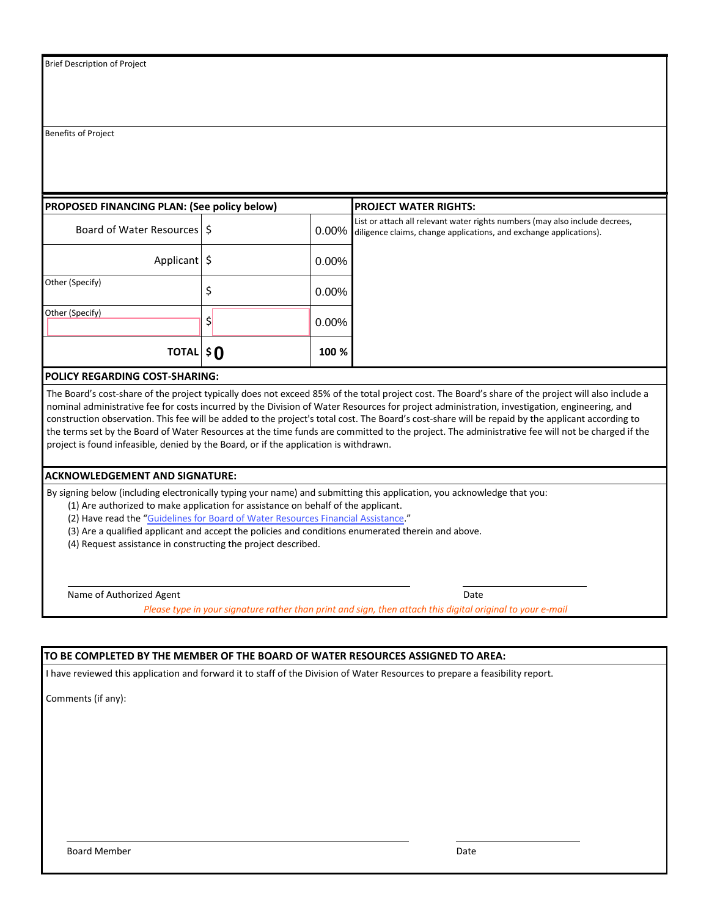Benefits of Project

| <b>PROPOSED FINANCING PLAN: (See policy below)</b> |  |          | <b>PROJECT WATER RIGHTS:</b>                                                                                                                      |  |  |
|----------------------------------------------------|--|----------|---------------------------------------------------------------------------------------------------------------------------------------------------|--|--|
| Board of Water Resources   \$                      |  | $0.00\%$ | List or attach all relevant water rights numbers (may also include decrees,<br>diligence claims, change applications, and exchange applications). |  |  |
| Applicant                                          |  | $0.00\%$ |                                                                                                                                                   |  |  |
| Other (Specify)                                    |  | $0.00\%$ |                                                                                                                                                   |  |  |
| Other (Specify)                                    |  | $0.00\%$ |                                                                                                                                                   |  |  |
| <b>TOTAL \$0</b>                                   |  | 100 %    |                                                                                                                                                   |  |  |

#### **POLICY REGARDING COST-SHARING:**

The Board's cost-share of the project typically does not exceed 85% of the total project cost. The Board's share of the project will also include a nominal administrative fee for costs incurred by the Division of Water Resources for project administration, investigation, engineering, and construction observation. This fee will be added to the project's total cost. The Board's cost-share will be repaid by the applicant according to the terms set by the Board of Water Resources at the time funds are committed to the project. The administrative fee will not be charged if the project is found infeasible, denied by the Board, or if the application is withdrawn.

#### **ACKNOWLEDGEMENT AND SIGNATURE:**

By signing below (including electronically typing your name) and submitting this application, you acknowledge that you:

(1) Are authorized to make application for assistance on behalf of the applicant.

(2) Have read the "Guidelines for [Board of Water Resources Financial Assistance](https://water.utah.gov/wp-content/uploads/2019/03/GUIDELINES042016.pdf)."

(3) Are a qualified applicant and accept the policies and conditions enumerated therein and above.

(4) Request assistance in constructing the project described.

Name of Authorized Agent **Date** Date **Date** Date **Date** Date **Date** Date **Date** Date **Date** 

*Please type in your signature rather than print and sign, then attach this digital original to your e-mail*

#### **TO BE COMPLETED BY THE MEMBER OF THE BOARD OF WATER RESOURCES ASSIGNED TO AREA:**

I have reviewed this application and forward it to staff of the Division of Water Resources to prepare a feasibility report.

Comments (if any):